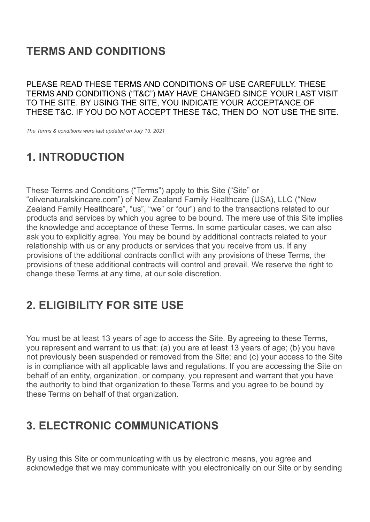# **TERMS AND CONDITIONS**

PLEASE READ THESE TERMS AND CONDITIONS OF USE CAREFULLY. THESE TERMS AND CONDITIONS ("T&C") MAY HAVE CHANGED SINCE YOUR LAST VISIT TO THE SITE. BY USING THE SITE, YOU INDICATE YOUR ACCEPTANCE OF THESE T&C. IF YOU DO NOT ACCEPT THESE T&C, THEN DO NOT USE THE SITE.

*The Terms & conditions were last updated on July 13, 2021*

### **1. INTRODUCTION**

These Terms and Conditions ("Terms") apply to this Site ("Site" or "[olivenaturalskincare.com"](https://olivenaturalskincare.com/)) of New Zealand Family Healthcare (USA), LLC ("New Zealand Family Healthcare", "us", "we" or "our") and to the transactions related to our products and services by which you agree to be bound. The mere use of this Site implies the knowledge and acceptance of these Terms. In some particular cases, we can also ask you to explicitly agree. You may be bound by additional contracts related to your relationship with us or any products or services that you receive from us. If any provisions of the additional contracts conflict with any provisions of these Terms, the provisions of these additional contracts will control and prevail. We reserve the right to change these Terms at any time, at our sole discretion.

### **2. ELIGIBILITY FOR SITE USE**

You must be at least 13 years of age to access the Site. By agreeing to these Terms, you represent and warrant to us that: (a) you are at least 13 years of age; (b) you have not previously been suspended or removed from the Site; and (c) your access to the Site is in compliance with all applicable laws and regulations. If you are accessing the Site on behalf of an entity, organization, or company, you represent and warrant that you have the authority to bind that organization to these Terms and you agree to be bound by these Terms on behalf of that organization.

### **3. ELECTRONIC COMMUNICATIONS**

By using this Site or communicating with us by electronic means, you agree and acknowledge that we may communicate with you electronically on our Site or by sending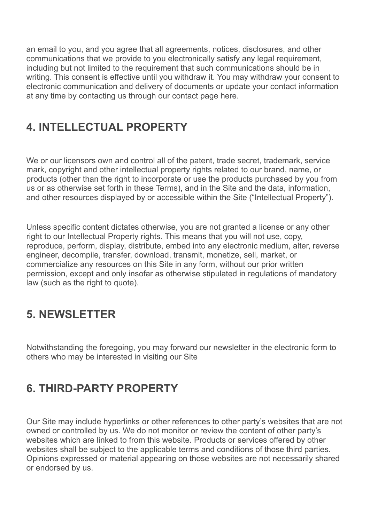an email to you, and you agree that all agreements, notices, disclosures, and other communications that we provide to you electronically satisfy any legal requirement, including but not limited to the requirement that such communications should be in writing. This consent is effective until you withdraw it. You may withdraw your consent to electronic communication and delivery of documents or update your contact information at any time by contacting us through our contact page [here](https://olivenaturalskincare.dev/contact/).

# **4. INTELLECTUAL PROPERTY**

We or our licensors own and control all of the patent, trade secret, trademark, service mark, copyright and other intellectual property rights related to our brand, name, or products (other than the right to incorporate or use the products purchased by you from us or as otherwise set forth in these Terms), and in the Site and the data, information, and other resources displayed by or accessible within the Site ("Intellectual Property").

Unless specific content dictates otherwise, you are not granted a license or any other right to our Intellectual Property rights. This means that you will not use, copy, reproduce, perform, display, distribute, embed into any electronic medium, alter, reverse engineer, decompile, transfer, download, transmit, monetize, sell, market, or commercialize any resources on this Site in any form, without our prior written permission, except and only insofar as otherwise stipulated in regulations of mandatory law (such as the right to quote).

### **5. NEWSLETTER**

Notwithstanding the foregoing, you may forward our newsletter in the electronic form to others who may be interested in visiting our Site

# **6. THIRD-PARTY PROPERTY**

Our Site may include hyperlinks or other references to other party's websites that are not owned or controlled by us. We do not monitor or review the content of other party's websites which are linked to from this website. Products or services offered by other websites shall be subject to the applicable terms and conditions of those third parties. Opinions expressed or material appearing on those websites are not necessarily shared or endorsed by us.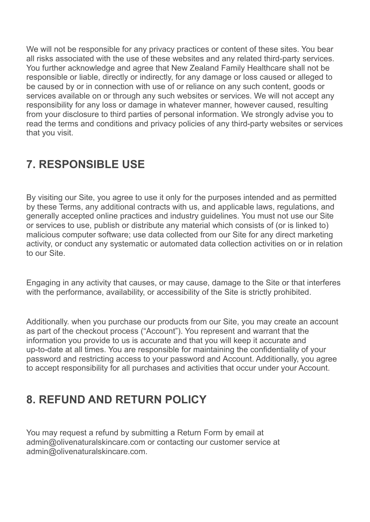We will not be responsible for any privacy practices or content of these sites. You bear all risks associated with the use of these websites and any related third-party services. You further acknowledge and agree that New Zealand Family Healthcare shall not be responsible or liable, directly or indirectly, for any damage or loss caused or alleged to be caused by or in connection with use of or reliance on any such content, goods or services available on or through any such websites or services. We will not accept any responsibility for any loss or damage in whatever manner, however caused, resulting from your disclosure to third parties of personal information. We strongly advise you to read the terms and conditions and privacy policies of any third-party websites or services that you visit.

#### **7. RESPONSIBLE USE**

By visiting our Site, you agree to use it only for the purposes intended and as permitted by these Terms, any additional contracts with us, and applicable laws, regulations, and generally accepted online practices and industry guidelines. You must not use our Site or services to use, publish or distribute any material which consists of (or is linked to) malicious computer software; use data collected from our Site for any direct marketing activity, or conduct any systematic or automated data collection activities on or in relation to our Site.

Engaging in any activity that causes, or may cause, damage to the Site or that interferes with the performance, availability, or accessibility of the Site is strictly prohibited.

Additionally. when you purchase our products from our Site, you may create an account as part of the checkout process ("Account"). You represent and warrant that the information you provide to us is accurate and that you will keep it accurate and up-to-date at all times. You are responsible for maintaining the confidentiality of your password and restricting access to your password and Account. Additionally, you agree to accept responsibility for all purchases and activities that occur under your Account.

### **8. REFUND AND RETURN POLICY**

You may request a refund by submitting a Return Form by email at admin@olivenaturalskincare.com or contacting our customer service at admin@olivenaturalskincare.com.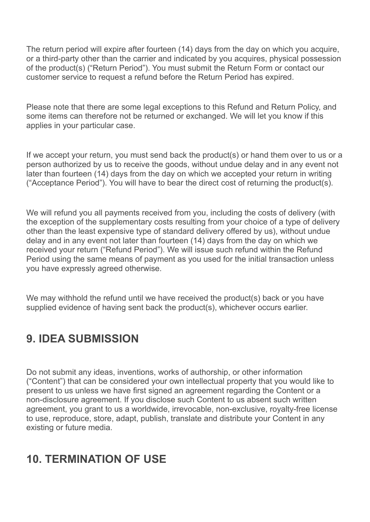The return period will expire after fourteen (14) days from the day on which you acquire, or a third-party other than the carrier and indicated by you acquires, physical possession of the product(s) ("Return Period"). You must submit the Return Form or contact our customer service to request a refund before the Return Period has expired.

Please note that there are some legal exceptions to this Refund and Return Policy, and some items can therefore not be returned or exchanged. We will let you know if this applies in your particular case.

If we accept your return, you must send back the product(s) or hand them over to us or a person authorized by us to receive the goods, without undue delay and in any event not later than fourteen (14) days from the day on which we accepted your return in writing ("Acceptance Period"). You will have to bear the direct cost of returning the product(s).

We will refund you all payments received from you, including the costs of delivery (with the exception of the supplementary costs resulting from your choice of a type of delivery other than the least expensive type of standard delivery offered by us), without undue delay and in any event not later than fourteen (14) days from the day on which we received your return ("Refund Period"). We will issue such refund within the Refund Period using the same means of payment as you used for the initial transaction unless you have expressly agreed otherwise.

We may withhold the refund until we have received the product(s) back or you have supplied evidence of having sent back the product(s), whichever occurs earlier.

### **9. IDEA SUBMISSION**

Do not submit any ideas, inventions, works of authorship, or other information ("Content") that can be considered your own intellectual property that you would like to present to us unless we have first signed an agreement regarding the Content or a non-disclosure agreement. If you disclose such Content to us absent such written agreement, you grant to us a worldwide, irrevocable, non-exclusive, royalty-free license to use, reproduce, store, adapt, publish, translate and distribute your Content in any existing or future media.

#### **10. TERMINATION OF USE**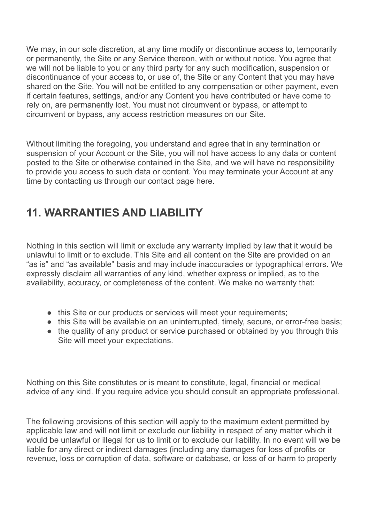We may, in our sole discretion, at any time modify or discontinue access to, temporarily or permanently, the Site or any Service thereon, with or without notice. You agree that we will not be liable to you or any third party for any such modification, suspension or discontinuance of your access to, or use of, the Site or any Content that you may have shared on the Site. You will not be entitled to any compensation or other payment, even if certain features, settings, and/or any Content you have contributed or have come to rely on, are permanently lost. You must not circumvent or bypass, or attempt to circumvent or bypass, any access restriction measures on our Site.

Without limiting the foregoing, you understand and agree that in any termination or suspension of your Account or the Site, you will not have access to any data or content posted to the Site or otherwise contained in the Site, and we will have no responsibility to provide you access to such data or content. You may terminate your Account at any time by contacting us through our contact page [here](https://olivenaturalskincare.dev/contact/).

### **11. WARRANTIES AND LIABILITY**

Nothing in this section will limit or exclude any warranty implied by law that it would be unlawful to limit or to exclude. This Site and all content on the Site are provided on an "as is" and "as available" basis and may include inaccuracies or typographical errors. We expressly disclaim all warranties of any kind, whether express or implied, as to the availability, accuracy, or completeness of the content. We make no warranty that:

- this Site or our products or services will meet your requirements;
- this Site will be available on an uninterrupted, timely, secure, or error-free basis;
- the quality of any product or service purchased or obtained by you through this Site will meet your expectations.

Nothing on this Site constitutes or is meant to constitute, legal, financial or medical advice of any kind. If you require advice you should consult an appropriate professional.

The following provisions of this section will apply to the maximum extent permitted by applicable law and will not limit or exclude our liability in respect of any matter which it would be unlawful or illegal for us to limit or to exclude our liability. In no event will we be liable for any direct or indirect damages (including any damages for loss of profits or revenue, loss or corruption of data, software or database, or loss of or harm to property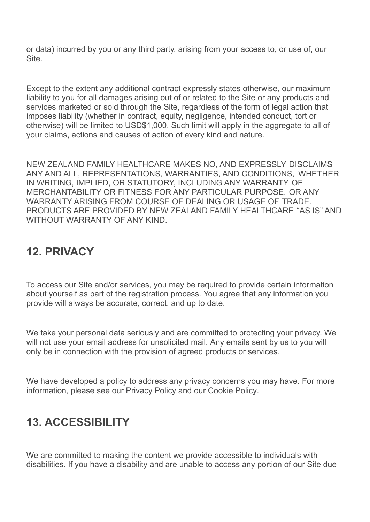or data) incurred by you or any third party, arising from your access to, or use of, our Site.

Except to the extent any additional contract expressly states otherwise, our maximum liability to you for all damages arising out of or related to the Site or any products and services marketed or sold through the Site, regardless of the form of legal action that imposes liability (whether in contract, equity, negligence, intended conduct, tort or otherwise) will be limited to USD\$1,000. Such limit will apply in the aggregate to all of your claims, actions and causes of action of every kind and nature.

NEW ZEALAND FAMILY HEALTHCARE MAKES NO, AND EXPRESSLY DISCLAIMS ANY AND ALL, REPRESENTATIONS, WARRANTIES, AND CONDITIONS, WHETHER IN WRITING, IMPLIED, OR STATUTORY, INCLUDING ANY WARRANTY OF MERCHANTABILITY OR FITNESS FOR ANY PARTICULAR PURPOSE, OR ANY WARRANTY ARISING FROM COURSE OF DEALING OR USAGE OF TRADE. PRODUCTS ARE PROVIDED BY NEW ZEALAND FAMILY HEALTHCARE "AS IS" AND WITHOUT WARRANTY OF ANY KIND.

### **12. PRIVACY**

To access our Site and/or services, you may be required to provide certain information about yourself as part of the registration process. You agree that any information you provide will always be accurate, correct, and up to date.

We take your personal data seriously and are committed to protecting your privacy. We will not use your email address for unsolicited mail. Any emails sent by us to you will only be in connection with the provision of agreed products or services.

We have developed a policy to address any privacy concerns you may have. For more information, please see our [Privacy](https://olivenaturalskincare.dev/legal/privacy-policy/) Policy and our [Cookie](https://olivenaturalskincare.dev/legal/cookie-policy-us/) Policy.

### **13. ACCESSIBILITY**

We are committed to making the content we provide accessible to individuals with disabilities. If you have a disability and are unable to access any portion of our Site due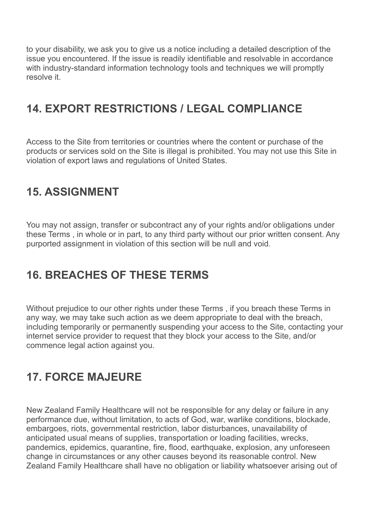to your disability, we ask you to give us a notice including a detailed description of the issue you encountered. If the issue is readily identifiable and resolvable in accordance with industry-standard information technology tools and techniques we will promptly resolve it.

### **14. EXPORT RESTRICTIONS / LEGAL COMPLIANCE**

Access to the Site from territories or countries where the content or purchase of the products or services sold on the Site is illegal is prohibited. You may not use this Site in violation of export laws and regulations of United States.

### **15. ASSIGNMENT**

You may not assign, transfer or subcontract any of your rights and/or obligations under these Terms , in whole or in part, to any third party without our prior written consent. Any purported assignment in violation of this section will be null and void.

### **16. BREACHES OF THESE TERMS**

Without prejudice to our other rights under these Terms , if you breach these Terms in any way, we may take such action as we deem appropriate to deal with the breach, including temporarily or permanently suspending your access to the Site, contacting your internet service provider to request that they block your access to the Site, and/or commence legal action against you.

### **17. FORCE MAJEURE**

New Zealand Family Healthcare will not be responsible for any delay or failure in any performance due, without limitation, to acts of God, war, warlike conditions, blockade, embargoes, riots, governmental restriction, labor disturbances, unavailability of anticipated usual means of supplies, transportation or loading facilities, wrecks, pandemics, epidemics, quarantine, fire, flood, earthquake, explosion, any unforeseen change in circumstances or any other causes beyond its reasonable control. New Zealand Family Healthcare shall have no obligation or liability whatsoever arising out of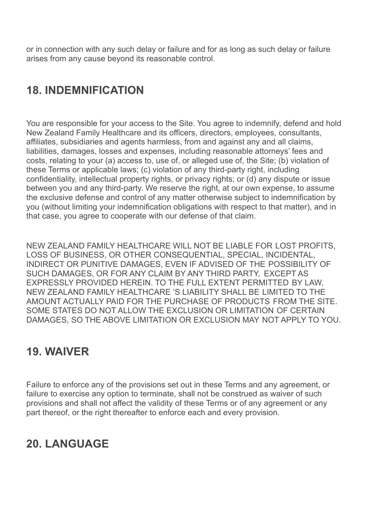or in connection with any such delay or failure and for as long as such delay or failure arises from any cause beyond its reasonable control.

# **18. INDEMNIFICATION**

You are responsible for your access to the Site. You agree to indemnify, defend and hold New Zealand Family Healthcare and its officers, directors, employees, consultants, affiliates, subsidiaries and agents harmless, from and against any and all claims, liabilities, damages, losses and expenses, including reasonable attorneys' fees and costs, relating to your (a) access to, use of, or alleged use of, the Site; (b) violation of these Terms or applicable laws; (c) violation of any third-party right, including confidentiality, intellectual property rights, or privacy rights; or (d) any dispute or issue between you and any third-party. We reserve the right, at our own expense, to assume the exclusive defense and control of any matter otherwise subject to indemnification by you (without limiting your indemnification obligations with respect to that matter), and in that case, you agree to cooperate with our defense of that claim.

NEW ZEALAND FAMILY HEALTHCARE WILL NOT BE LIABLE FOR LOST PROFITS, LOSS OF BUSINESS, OR OTHER CONSEQUENTIAL, SPECIAL, INCIDENTAL, INDIRECT OR PUNITIVE DAMAGES, EVEN IF ADVISED OF THE POSSIBILITY OF SUCH DAMAGES, OR FOR ANY CLAIM BY ANY THIRD PARTY, EXCEPT AS EXPRESSLY PROVIDED HEREIN. TO THE FULL EXTENT PERMITTED BY LAW, NEW ZEALAND FAMILY HEALTHCARE 'S LIABILITY SHALL BE LIMITED TO THE AMOUNT ACTUALLY PAID FOR THE PURCHASE OF PRODUCTS FROM THE SITE. SOME STATES DO NOT ALLOW THE EXCLUSION OR LIMITATION OF CERTAIN DAMAGES, SO THE ABOVE LIMITATION OR EXCLUSION MAY NOT APPLY TO YOU.

#### **19. WAIVER**

Failure to enforce any of the provisions set out in these Terms and any agreement, or failure to exercise any option to terminate, shall not be construed as waiver of such provisions and shall not affect the validity of these Terms or of any agreement or any part thereof, or the right thereafter to enforce each and every provision.

### **20. LANGUAGE**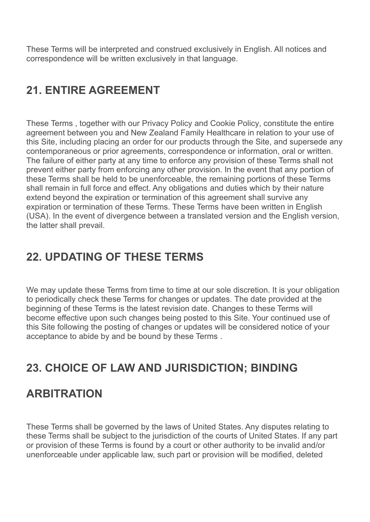These Terms will be interpreted and construed exclusively in English. All notices and correspondence will be written exclusively in that language.

## **21. ENTIRE AGREEMENT**

These Terms , together with our [Privacy](https://olivenaturalskincare.dev/legal/privacy-policy/) Policy and [Cookie](https://olivenaturalskincare.dev/legal/cookie-policy-us/) Policy, constitute the entire agreement between you and New Zealand Family Healthcare in relation to your use of this Site, including placing an order for our products through the Site, and supersede any contemporaneous or prior agreements, correspondence or information, oral or written. The failure of either party at any time to enforce any provision of these Terms shall not prevent either party from enforcing any other provision. In the event that any portion of these Terms shall be held to be unenforceable, the remaining portions of these Terms shall remain in full force and effect. Any obligations and duties which by their nature extend beyond the expiration or termination of this agreement shall survive any expiration or termination of these Terms. These Terms have been written in English (USA). In the event of divergence between a translated version and the English version, the latter shall prevail.

### **22. UPDATING OF THESE TERMS**

We may update these Terms from time to time at our sole discretion. It is your obligation to periodically check these Terms for changes or updates. The date provided at the beginning of these Terms is the latest revision date. Changes to these Terms will become effective upon such changes being posted to this Site. Your continued use of this Site following the posting of changes or updates will be considered notice of your acceptance to abide by and be bound by these Terms .

#### **23. CHOICE OF LAW AND JURISDICTION; BINDING**

#### **ARBITRATION**

These Terms shall be governed by the laws of United States. Any disputes relating to these Terms shall be subject to the jurisdiction of the courts of United States. If any part or provision of these Terms is found by a court or other authority to be invalid and/or unenforceable under applicable law, such part or provision will be modified, deleted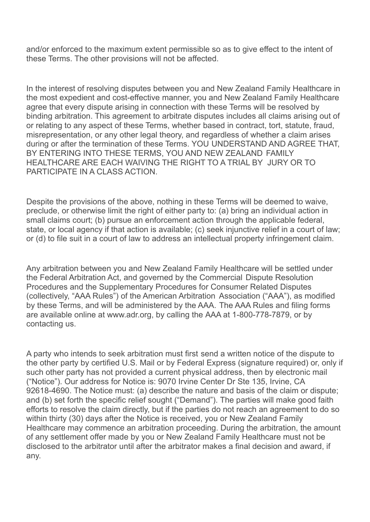and/or enforced to the maximum extent permissible so as to give effect to the intent of these Terms. The other provisions will not be affected.

In the interest of resolving disputes between you and New Zealand Family Healthcare in the most expedient and cost-effective manner, you and New Zealand Family Healthcare agree that every dispute arising in connection with these Terms will be resolved by binding arbitration. This agreement to arbitrate disputes includes all claims arising out of or relating to any aspect of these Terms, whether based in contract, tort, statute, fraud, misrepresentation, or any other legal theory, and regardless of whether a claim arises during or after the termination of these Terms. YOU UNDERSTAND AND AGREE THAT, BY ENTERING INTO THESE TERMS, YOU AND NEW ZEALAND FAMILY HEALTHCARE ARE EACH WAIVING THE RIGHT TO A TRIAL BY JURY OR TO PARTICIPATE IN A CLASS ACTION.

Despite the provisions of the above, nothing in these Terms will be deemed to waive, preclude, or otherwise limit the right of either party to: (a) bring an individual action in small claims court; (b) pursue an enforcement action through the applicable federal, state, or local agency if that action is available; (c) seek injunctive relief in a court of law; or (d) to file suit in a court of law to address an intellectual property infringement claim.

Any arbitration between you and New Zealand Family Healthcare will be settled under the Federal Arbitration Act, and governed by the Commercial Dispute Resolution Procedures and the Supplementary Procedures for Consumer Related Disputes (collectively, "AAA Rules") of the American Arbitration Association ("AAA"), as modified by these Terms, and will be administered by the AAA. The AAA Rules and filing forms are available online at www.adr.org, by calling the AAA at 1-800-778-7879, or by contacting us.

A party who intends to seek arbitration must first send a written notice of the dispute to the other party by certified U.S. Mail or by Federal Express (signature required) or, only if such other party has not provided a current physical address, then by electronic mail ("Notice"). Our address for Notice is: 9070 Irvine Center Dr Ste 135, Irvine, CA 92618-4690. The Notice must: (a) describe the nature and basis of the claim or dispute; and (b) set forth the specific relief sought ("Demand"). The parties will make good faith efforts to resolve the claim directly, but if the parties do not reach an agreement to do so within thirty (30) days after the Notice is received, you or New Zealand Family Healthcare may commence an arbitration proceeding. During the arbitration, the amount of any settlement offer made by you or New Zealand Family Healthcare must not be disclosed to the arbitrator until after the arbitrator makes a final decision and award, if any.